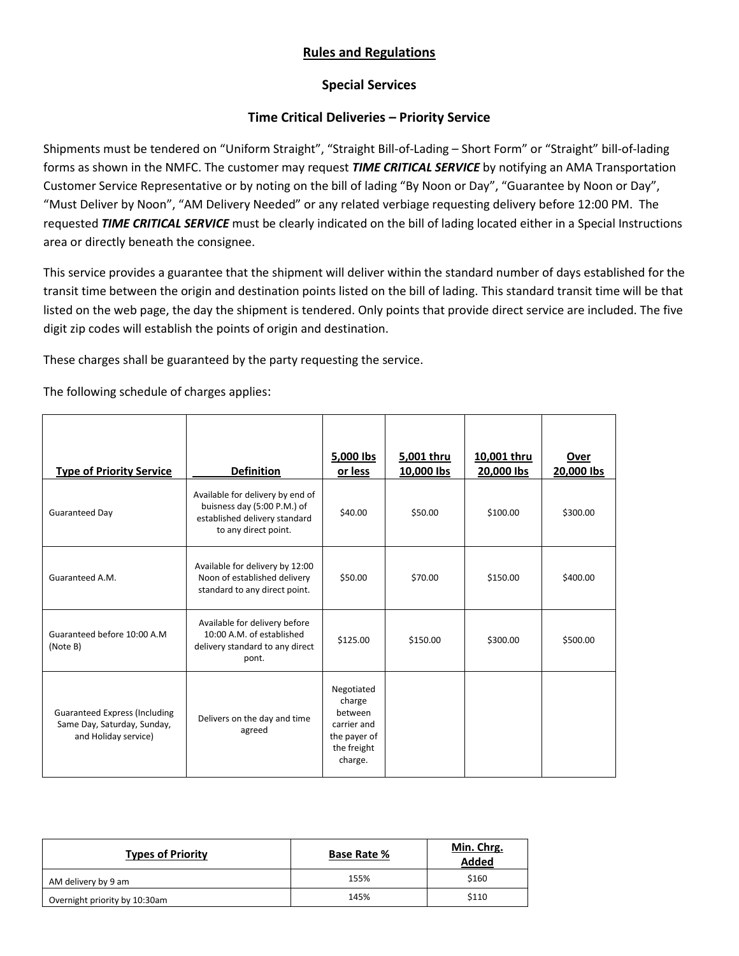## **Rules and Regulations**

## **Special Services**

## **Time Critical Deliveries – Priority Service**

Shipments must be tendered on "Uniform Straight", "Straight Bill-of-Lading – Short Form" or "Straight" bill-of-lading forms as shown in the NMFC. The customer may request *TIME CRITICAL SERVICE* by notifying an AMA Transportation Customer Service Representative or by noting on the bill of lading "By Noon or Day", "Guarantee by Noon or Day", "Must Deliver by Noon", "AM Delivery Needed" or any related verbiage requesting delivery before 12:00 PM. The requested *TIME CRITICAL SERVICE* must be clearly indicated on the bill of lading located either in a Special Instructions area or directly beneath the consignee.

This service provides a guarantee that the shipment will deliver within the standard number of days established for the transit time between the origin and destination points listed on the bill of lading. This standard transit time will be that listed on the web page, the day the shipment is tendered. Only points that provide direct service are included. The five digit zip codes will establish the points of origin and destination.

These charges shall be guaranteed by the party requesting the service.

The following schedule of charges applies:

| <b>Type of Priority Service</b>                                                             | <b>Definition</b>                                                                                                        | 5,000 lbs<br>or less                                                                     | 5,001 thru<br>10,000 lbs | 10,001 thru<br>20,000 lbs | Over<br>20,000 lbs |
|---------------------------------------------------------------------------------------------|--------------------------------------------------------------------------------------------------------------------------|------------------------------------------------------------------------------------------|--------------------------|---------------------------|--------------------|
| Guaranteed Day                                                                              | Available for delivery by end of<br>buisness day (5:00 P.M.) of<br>established delivery standard<br>to any direct point. | \$40.00                                                                                  | \$50.00                  | \$100.00                  | \$300.00           |
| Guaranteed A.M.                                                                             | Available for delivery by 12:00<br>Noon of established delivery<br>standard to any direct point.                         | \$50.00                                                                                  | \$70.00                  | \$150.00                  | \$400.00           |
| Guaranteed before 10:00 A.M.<br>(Note B)                                                    | Available for delivery before<br>10:00 A.M. of established<br>delivery standard to any direct<br>pont.                   | \$125.00                                                                                 | \$150.00                 | \$300.00                  | \$500.00           |
| <b>Guaranteed Express (Including</b><br>Same Day, Saturday, Sunday,<br>and Holiday service) | Delivers on the day and time<br>agreed                                                                                   | Negotiated<br>charge<br>between<br>carrier and<br>the payer of<br>the freight<br>charge. |                          |                           |                    |

| <b>Types of Priority</b>      | <b>Base Rate %</b> | Min. Chrg.<br><b>Added</b> |
|-------------------------------|--------------------|----------------------------|
| AM delivery by 9 am           | 155%               | \$160                      |
| Overnight priority by 10:30am | 145%               | \$110                      |